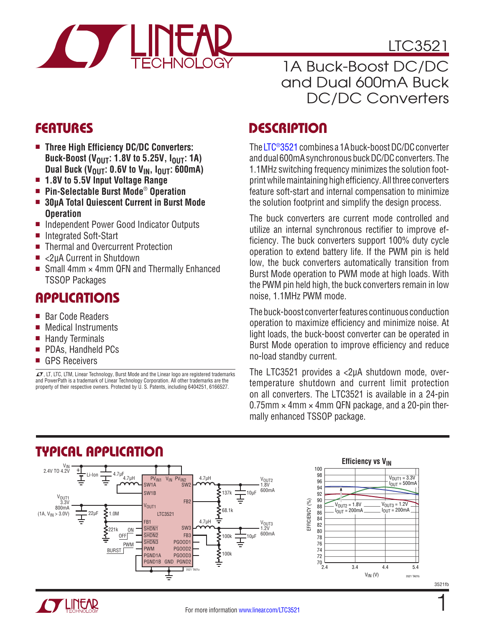

LTC3521

### 1A Buck-Boost DC/DC and Dual 600mA Buck DC/DC Converters

### **FEATURES**

- Three High Efficiency DC/DC Converters: **Buck-Boost (V<sub>OUT</sub>: 1.8V to 5.25V, I<sub>OUT</sub>: 1A)** Dual Buck ( $V_{\text{OUT}}$ : 0.6V to  $V_{\text{IN}}$ ,  $I_{\text{OUT}}$ : 600mA)
- <sup>n</sup> **1.8V to 5.5V Input Voltage Range**
- Pin-Selectable Burst Mode<sup>®</sup> Operation
- 30µA Total Quiescent Current in Burst Mode **Operation**
- Independent Power Good Indicator Outputs
- Integrated Soft-Start
- Thermal and Overcurrent Protection
- <2uA Current in Shutdown
- Small 4mm  $\times$  4mm QFN and Thermally Enhanced TSSOP Packages

### **APPLICATIONS**

- Bar Code Readers
- $\blacksquare$  Medical Instruments
- $\blacksquare$  Handy Terminals
- **PDAs, Handheld PCs**
- GPS Receivers

 $\sqrt{J}$ , LT, LTC, LTM, Linear Technology, Burst Mode and the Linear logo are registered trademarks and PowerPath is a trademark of Linear Technology Corporation. All other trademarks are the property of their respective owners. Protected by U. S. Patents, including 6404251, 6166527.

### **DESCRIPTION**

The [LTC®3521](http://www.linear.com/LTC3521) combines a 1A buck-boost DC/DC converter and dual 600mA synchronous buck DC/DC converters. The 1.1MHz switching frequency minimizes the solution footprintwhilemaintaininghighefficiency. Allthree converters feature soft-start and internal compensation to minimize the solution footprint and simplify the design process.

The buck converters are current mode controlled and utilize an internal synchronous rectifier to improve efficiency. The buck converters support 100% duty cycle operation to extend battery life. If the PWM pin is held low, the buck converters automatically transition from Burst Mode operation to PWM mode at high loads. With the PWM pin held high, the buck converters remain in low noise, 1.1MHz PWM mode.

The buck-boost converter features continuous conduction operation to maximize efficiency and minimize noise. At light loads, the buck-boost converter can be operated in Burst Mode operation to improve efficiency and reduce no-load standby current.

The LTC3521 provides a <2μA shutdown mode, overtemperature shutdown and current limit protection on all converters. The LTC3521 is available in a 24-pin  $0.75$ mm  $\times$  4mm  $\times$  4mm QFN package, and a 20-pin thermally enhanced TSSOP package.



### Typical Application



1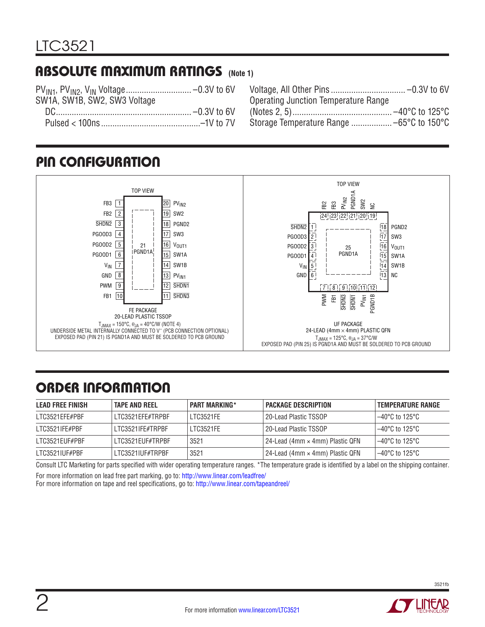### Absolute Maximum Ratings **(Note 1)**

| SW1A, SW1B, SW2, SW3 Voltage |  |
|------------------------------|--|
|                              |  |
|                              |  |
|                              |  |

| <b>Operating Junction Temperature Range</b> |
|---------------------------------------------|
|                                             |
|                                             |
|                                             |

### Pin Configuration



# ORDER INFORMATION

| LEAD FREE FINISH | <b>TAPE AND REEL</b> | <b>PART MARKING*</b> | PACKAGE DESCRIPTION             | TEMPERATURE RANGE        |
|------------------|----------------------|----------------------|---------------------------------|--------------------------|
| LTC3521EFE#PBF   | I TC3521FFF#TRPRF    | <b>I TC3521FF</b>    | 20-Lead Plastic TSSOP           | $-40^{\circ}$ C to 125°C |
| LTC3521IFE#PBF   | LTC3521IFE#TRPBF     | <b>I TC3521FF</b>    | 20-Lead Plastic TSSOP           | $-40^{\circ}$ C to 125°C |
| LTC3521EUF#PBF   | LTC3521EUF#TRPBF     | 3521                 | 24-Lead (4mm × 4mm) Plastic QFN | '-40°C to 125°C          |
| LTC3521IUF#PBF   | LTC3521IUF#TRPBF     | 3521                 | 24-Lead (4mm × 4mm) Plastic QFN | ' –40°C to 125°C         |

Consult LTC Marketing for parts specified with wider operating temperature ranges. \*The temperature grade is identified by a label on the shipping container. For more information on lead free part marking, go to: http://www.linear.com/leadfree/

For more information on tape and reel specifications, go to: http://www.linear.com/tapeandreel/

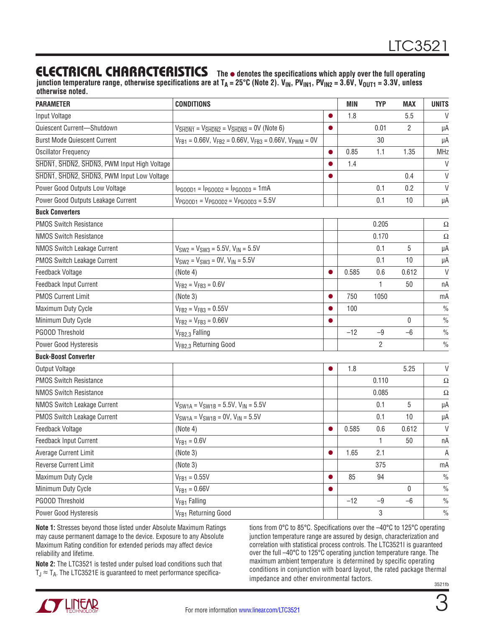### **ELECTRICAL CHARACTERISTICS** The  $\bullet$  denotes the specifications which apply over the full operating

junction temperature range, otherwise specifications are at T<sub>A</sub> = 25°C (Note 2). V<sub>IN</sub>, PV<sub>IN1</sub>, PV<sub>IN2</sub> = 3.6V, V<sub>OUT1</sub> = 3.3V, unless **otherwise noted.**

| <b>PARAMETER</b>                            | <b>CONDITIONS</b>                                                                                                  |           | <b>MIN</b> | <b>TYP</b>     | <b>MAX</b>     | <b>UNITS</b>  |
|---------------------------------------------|--------------------------------------------------------------------------------------------------------------------|-----------|------------|----------------|----------------|---------------|
| Input Voltage                               |                                                                                                                    | 0         | 1.8        |                | 5.5            | $\vee$        |
| Quiescent Current-Shutdown                  | $V_{\overline{\text{SHOM1}}} = V_{\overline{\text{SHDN2}}} = V_{\overline{\text{SHDN3}}} = \overline{0}V$ (Note 6) | $\bullet$ |            | 0.01           | $\overline{2}$ | μA            |
| <b>Burst Mode Quiescent Current</b>         | $V_{FB1} = 0.66V$ , $V_{FB2} = 0.66V$ , $V_{FB3} = 0.66V$ , $V_{PWM} = 0V$                                         |           |            | 30             |                | μA            |
| <b>Oscillator Frequency</b>                 |                                                                                                                    | $\bullet$ | 0.85       | 1.1            | 1.35           | <b>MHz</b>    |
| SHDN1, SHDN2, SHDN3, PWM Input High Voltage |                                                                                                                    |           | 1.4        |                |                | $\vee$        |
| SHDN1, SHDN2, SHDN3, PWM Input Low Voltage  |                                                                                                                    | ●         |            |                | 0.4            | $\vee$        |
| Power Good Outputs Low Voltage              | $I_{PGOOD1} = I_{PGOOD2} = I_{PGOOD3} = 1mA$                                                                       |           |            | 0.1            | 0.2            | $\vee$        |
| Power Good Outputs Leakage Current          | $V_{PGOOD1} = V_{PGOOD2} = V_{PGOOD3} = 5.5V$                                                                      |           |            | 0.1            | 10             | μA            |
| <b>Buck Converters</b>                      |                                                                                                                    |           |            |                |                |               |
| <b>PMOS Switch Resistance</b>               |                                                                                                                    |           |            | 0.205          |                | Ω             |
| <b>NMOS Switch Resistance</b>               |                                                                                                                    |           |            | 0.170          |                | Ω             |
| NMOS Switch Leakage Current                 | $V_{SW2} = V_{SW3} = 5.5V$ , $V_{IN} = 5.5V$                                                                       |           |            | 0.1            | 5              | μA            |
| PMOS Switch Leakage Current                 | $V_{SW2} = V_{SW3} = 0V$ , $V_{IN} = 5.5V$                                                                         |           |            | 0.1            | 10             | μA            |
| Feedback Voltage                            | (Note 4)                                                                                                           | $\bullet$ | 0.585      | 0.6            | 0.612          | $\vee$        |
| <b>Feedback Input Current</b>               | $V_{FB2} = V_{FB3} = 0.6V$                                                                                         |           |            | 1              | 50             | nA            |
| <b>PMOS Current Limit</b>                   | (Note 3)                                                                                                           | $\bullet$ | 750        | 1050           |                | mA            |
| Maximum Duty Cycle                          | $V_{FB2} = V_{FB3} = 0.55V$                                                                                        |           | 100        |                |                | $\frac{0}{0}$ |
| Minimum Duty Cycle                          | $V_{FB2} = V_{FB3} = 0.66V$                                                                                        |           |            |                | $\mathbf{0}$   | $\frac{0}{0}$ |
| PGOOD Threshold                             | V <sub>FB2,3</sub> Falling                                                                                         |           | $-12$      | $-9$           | $-6$           | $\frac{0}{0}$ |
| Power Good Hysteresis                       | V <sub>FB2.3</sub> Returning Good                                                                                  |           |            | $\overline{c}$ |                | $\frac{0}{0}$ |
| <b>Buck-Boost Converter</b>                 |                                                                                                                    |           |            |                |                |               |
| Output Voltage                              |                                                                                                                    |           | 1.8        |                | 5.25           | $\vee$        |
| <b>PMOS Switch Resistance</b>               |                                                                                                                    |           |            | 0.110          |                | Ω             |
| <b>NMOS Switch Resistance</b>               |                                                                                                                    |           |            | 0.085          |                | Ω             |
| NMOS Switch Leakage Current                 | $V_{SW1A} = V_{SW1B} = 5.5V, V_{IN} = 5.5V$                                                                        |           |            | 0.1            | 5              | μA            |
| PMOS Switch Leakage Current                 | $V_{SW1A} = V_{SW1B} = 0V$ , $V_{IN} = 5.5V$                                                                       |           |            | 0.1            | 10             | μA            |
| Feedback Voltage                            | (Note 4)                                                                                                           | $\bullet$ | 0.585      | 0.6            | 0.612          | $\vee$        |
| Feedback Input Current                      | $V_{FB1} = 0.6 V$                                                                                                  |           |            | 1              | 50             | пA            |
| Average Current Limit                       | (Note 3)                                                                                                           |           | 1.65       | 2.1            |                | A             |
| Reverse Current Limit                       | (Note 3)                                                                                                           |           |            | 375            |                | mA            |
| Maximum Duty Cycle                          | $V_{FB1} = 0.55V$                                                                                                  | $\bullet$ | 85         | 94             |                | $\frac{0}{0}$ |
| Minimum Duty Cycle                          | $V_{FB1} = 0.66V$                                                                                                  | O         |            |                | 0              | $\frac{0}{0}$ |
| PGOOD Threshold                             | V <sub>FB1</sub> Falling                                                                                           |           | $-12$      | $-9$           | $-6$           | $\frac{0}{0}$ |
| Power Good Hysteresis                       | V <sub>FB1</sub> Returning Good                                                                                    |           |            | 3              |                | $\frac{0}{0}$ |

**Note 1:** Stresses beyond those listed under Absolute Maximum Ratings may cause permanent damage to the device. Exposure to any Absolute Maximum Rating condition for extended periods may affect device reliability and lifetime.

**Note 2:** The LTC3521 is tested under pulsed load conditions such that  $T_J \approx T_A$ . The LTC3521E is guaranteed to meet performance specifica-

3521fb tions from 0°C to 85°C. Specifications over the –40°C to 125°C operating junction temperature range are assured by design, characterization and correlation with statistical process controls. The LTC3521I is guaranteed over the full –40°C to 125°C operating junction temperature range. The maximum ambient temperature is determined by specific operating conditions in conjunction with board layout, the rated package thermal impedance and other environmental factors.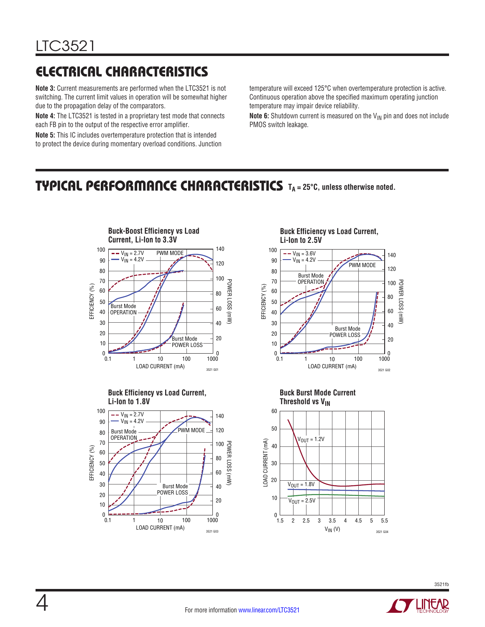# Electrical Characteristics

**Note 3:** Current measurements are performed when the LTC3521 is not switching. The current limit values in operation will be somewhat higher due to the propagation delay of the comparators.

**Note 4:** The LTC3521 is tested in a proprietary test mode that connects each FB pin to the output of the respective error amplifier.

**Note 5:** This IC includes overtemperature protection that is intended to protect the device during momentary overload conditions. Junction temperature will exceed 125°C when overtemperature protection is active. Continuous operation above the specified maximum operating junction temperature may impair device reliability.

**Note 6:** Shutdown current is measured on the  $V_{\text{IN}}$  pin and does not include PMOS switch leakage.

### TYPICAL PERFORMANCE CHARACTERISTICS TA=25°C, unless otherwise noted.









140







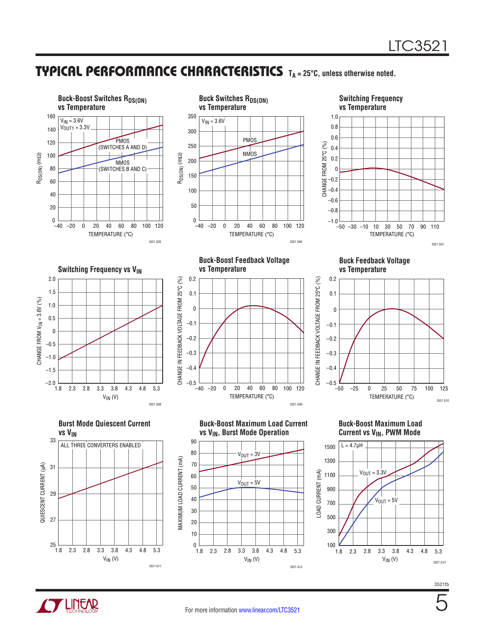5

### TYPICAL PERFORMANCE CHARACTERISTICS TA=25°C, unless otherwise noted.



**TLINEAR**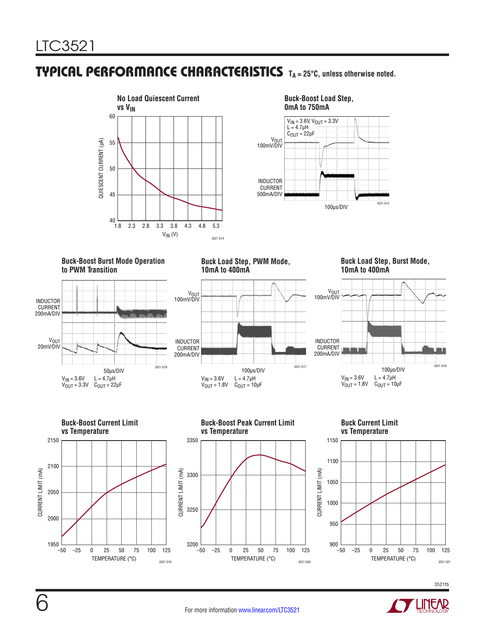### **TYPICAL PERFORMANCE CHARACTERISTICS** TA = 25°C, unless otherwise noted.



**Buck-Boost Load Step,** 



#### **Buck-Boost Burst Mode Operation to PWM Transition**



**Buck Load Step, PWM Mode, 10mA to 400mA**



**Buck Load Step, Burst Mode, 10mA to 400mA**







**Buck-Boost Peak Current Limit** 





6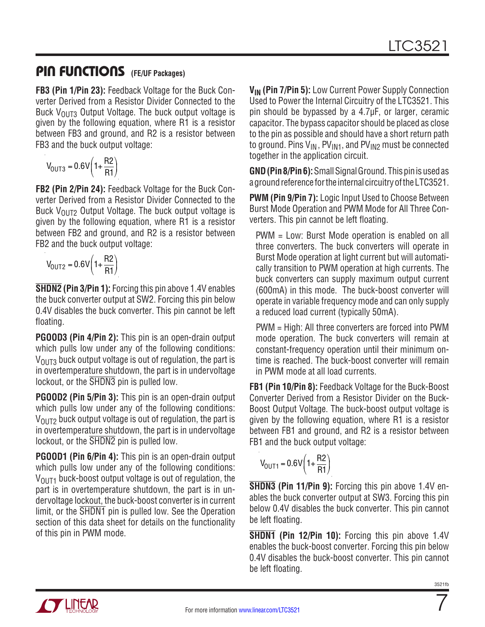### Pin Functions **(FE/UF Packages)**

**FB3 (Pin 1/Pin 23):** Feedback Voltage for the Buck Converter Derived from a Resistor Divider Connected to the Buck  $V_{OUT3}$  Output Voltage. The buck output voltage is given by the following equation, where R1 is a resistor between FB3 and ground, and R2 is a resistor between FB3 and the buck output voltage:

$$
V_{OUT3} = 0.6V\left(1 + \frac{R2}{R1}\right)
$$

**FB2 (Pin 2/Pin 24):** Feedback Voltage for the Buck Converter Derived from a Resistor Divider Connected to the Buck  $V_{OIII2}$  Output Voltage. The buck output voltage is given by the following equation, where R1 is a resistor between FB2 and ground, and R2 is a resistor between FB2 and the buck output voltage:

$$
V_{\text{OUT2}} = 0.6V \left(1 + \frac{R2}{R1}\right)
$$

**SHDN2 (Pin 3/Pin 1):** Forcing this pin above 1.4V enables the buck converter output at SW2. Forcing this pin below 0.4V disables the buck converter. This pin cannot be left floating.

**PGOOD3 (Pin 4/Pin 2):** This pin is an open-drain output which pulls low under any of the following conditions:  $V<sub>OUT3</sub>$  buck output voltage is out of regulation, the part is in overtemperature shutdown, the part is in undervoltage lockout, or the SHDN3 pin is pulled low.

**PGOOD2 (Pin 5/Pin 3):** This pin is an open-drain output which pulls low under any of the following conditions:  $V_{\text{OUT2}}$  buck output voltage is out of regulation, the part is in overtemperature shutdown, the part is in undervoltage lockout, or the SHDN2 pin is pulled low.

**PGOOD1 (Pin 6/Pin 4):** This pin is an open-drain output which pulls low under any of the following conditions:  $V_{\text{OUT1}}$  buck-boost output voltage is out of regulation, the part is in overtemperature shutdown, the part is in undervoltage lockout, the buck-boost converter is in current limit, or the  $\overline{\text{SHDN1}}$  pin is pulled low. See the Operation section of this data sheet for details on the functionality of this pin in PWM mode.

**V<sub>IN</sub>** (Pin 7/Pin 5): Low Current Power Supply Connection Used to Power the Internal Circuitry of the LTC3521. This pin should be bypassed by a 4.7µF, or larger, ceramic capacitor. The bypass capacitor should be placed as close to the pin as possible and should have a short return path to ground. Pins  $V_{IN}$ ,  $PV_{IN1}$ , and  $PV_{IN2}$  must be connected together in the application circuit.

**GND (Pin 8/Pin 6):**SmallSignalGround. Thispinisusedas a ground reference for the internal circuitry of the LTC3521.

**PWM (Pin 9/Pin 7):** Logic Input Used to Choose Between Burst Mode Operation and PWM Mode for All Three Converters. This pin cannot be left floating.

PWM = Low: Burst Mode operation is enabled on all three converters. The buck converters will operate in Burst Mode operation at light current but will automatically transition to PWM operation at high currents. The buck converters can supply maximum output current (600mA) in this mode. The buck-boost converter will operate in variable frequency mode and can only supply a reduced load current (typically 50mA).

PWM = High: All three converters are forced into PWM mode operation. The buck converters will remain at constant-frequency operation until their minimum ontime is reached. The buck-boost converter will remain in PWM mode at all load currents.

**FB1 (Pin 10/Pin 8):** Feedback Voltage for the Buck-Boost Converter Derived from a Resistor Divider on the Buck-Boost Output Voltage. The buck-boost output voltage is given by the following equation, where R1 is a resistor between FB1 and ground, and R2 is a resistor between FB1 and the buck output voltage:

$$
V_{\text{OUT1}} = 0.6 \text{V} \left( 1 + \frac{\text{R2}}{\text{R1}} \right)
$$

**SHDN3 (Pin 11/Pin 9):** Forcing this pin above 1.4V enables the buck converter output at SW3. Forcing this pin below 0.4V disables the buck converter. This pin cannot be left floating.

**SHDN1 (Pin 12/Pin 10):** Forcing this pin above 1.4V enables the buck-boost converter. Forcing this pin below 0.4V disables the buck-boost converter. This pin cannot be left floating.



7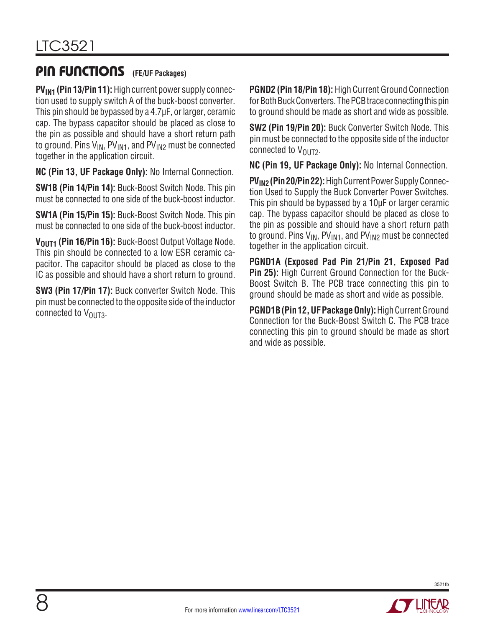### Pin Functions **(FE/UF Packages)**

**PV<sub>IN1</sub>** (Pin 13/Pin 11): High current power supply connection used to supply switch A of the buck-boost converter. This pin should be bypassed by a 4.7µF, or larger, ceramic cap. The bypass capacitor should be placed as close to the pin as possible and should have a short return path to ground. Pins  $V_{IN}$ ,  $PV_{IN1}$ , and  $PV_{IN2}$  must be connected together in the application circuit.

**NC (Pin 13, UF Package Only):** No Internal Connection.

**SW1B (Pin 14/Pin 14):** Buck-Boost Switch Node. This pin must be connected to one side of the buck-boost inductor.

**SW1A (Pin 15/Pin 15):** Buck-Boost Switch Node. This pin must be connected to one side of the buck-boost inductor.

V<sub>OUT1</sub> (Pin 16/Pin 16): Buck-Boost Output Voltage Node. This pin should be connected to a low ESR ceramic capacitor. The capacitor should be placed as close to the IC as possible and should have a short return to ground.

**SW3 (Pin 17/Pin 17):** Buck converter Switch Node. This pin must be connected to the opposite side of the inductor connected to  $V_{OUT3}$ .

**PGND2 (Pin 18/Pin 18):** High Current Ground Connection for Both Buck Converters. The PCB trace connecting this pin to ground should be made as short and wide as possible.

**SW2 (Pin 19/Pin 20):** Buck Converter Switch Node. This pin must be connected to the opposite side of the inductor connected to  $V_{OUT2}$ .

**NC (Pin 19, UF Package Only):** No Internal Connection.

**PV<sub>IN2</sub> (Pin 20/Pin 22):** High Current Power Supply Connection Used to Supply the Buck Converter Power Switches. This pin should be bypassed by a 10µF or larger ceramic cap. The bypass capacitor should be placed as close to the pin as possible and should have a short return path to ground. Pins  $V_{IN}$ ,  $PV_{IN1}$ , and  $PV_{IN2}$  must be connected together in the application circuit.

**PGND1A (Exposed Pad Pin 21/Pin 21, Exposed Pad Pin 25):** High Current Ground Connection for the Buck-Boost Switch B. The PCB trace connecting this pin to ground should be made as short and wide as possible.

**PGND1B (Pin 12, UF Package Only): High Current Ground** Connection for the Buck-Boost Switch C. The PCB trace connecting this pin to ground should be made as short and wide as possible.

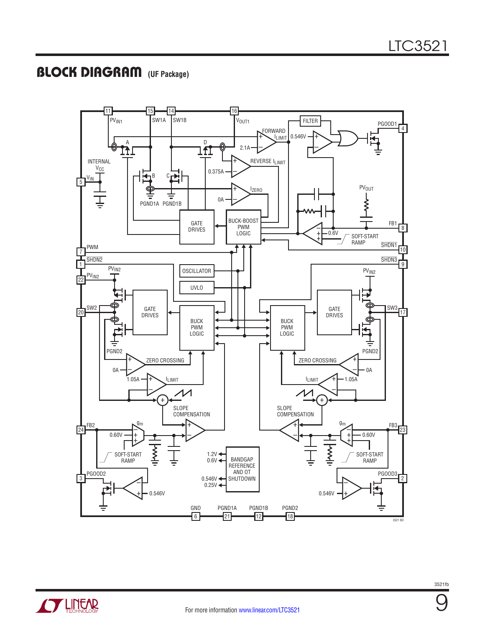### Block Diagram **(UF Package)**



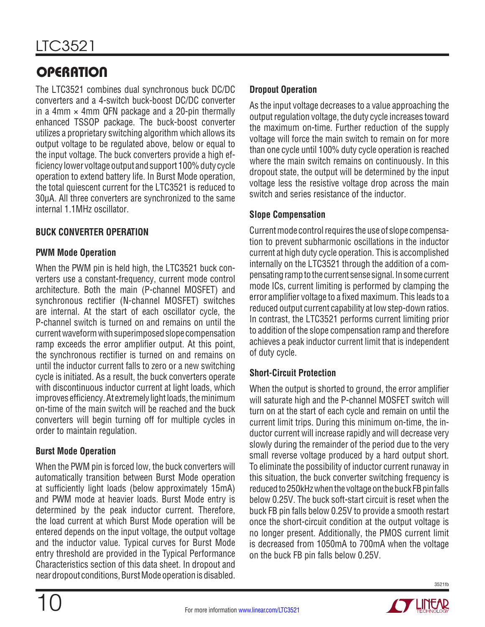The LTC3521 combines dual synchronous buck DC/DC converters and a 4-switch buck-boost DC/DC converter in a 4mm  $\times$  4mm QFN package and a 20-pin thermally enhanced TSSOP package. The buck-boost converter utilizes a proprietary switching algorithm which allows its output voltage to be regulated above, below or equal to the input voltage. The buck converters provide a high efficiency lower voltage output and support 100% duty cycle operation to extend battery life. In Burst Mode operation, the total quiescent current for the LTC3521 is reduced to 30μA. All three converters are synchronized to the same internal 1.1MHz oscillator.

### **Buck Converter Operation**

#### **PWM Mode Operation**

When the PWM pin is held high, the LTC3521 buck converters use a constant-frequency, current mode control architecture. Both the main (P-channel MOSFET) and synchronous rectifier (N-channel MOSFET) switches are internal. At the start of each oscillator cycle, the P-channel switch is turned on and remains on until the current waveform with superimposed slope compensation ramp exceeds the error amplifier output. At this point, the synchronous rectifier is turned on and remains on until the inductor current falls to zero or a new switching cycle is initiated. As a result, the buck converters operate with discontinuous inductor current at light loads, which improves efficiency. At extremely light loads, the minimum on-time of the main switch will be reached and the buck converters will begin turning off for multiple cycles in order to maintain regulation.

#### **Burst Mode Operation**

When the PWM pin is forced low, the buck converters will automatically transition between Burst Mode operation at sufficiently light loads (below approximately 15mA) and PWM mode at heavier loads. Burst Mode entry is determined by the peak inductor current. Therefore, the load current at which Burst Mode operation will be entered depends on the input voltage, the output voltage and the inductor value. Typical curves for Burst Mode entry threshold are provided in the Typical Performance Characteristics section of this data sheet. In dropout and near dropout conditions, Burst Mode operation is disabled.

#### **Dropout Operation**

As the input voltage decreases to a value approaching the output regulation voltage, the duty cycle increases toward the maximum on-time. Further reduction of the supply voltage will force the main switch to remain on for more than one cycle until 100% duty cycle operation is reached where the main switch remains on continuously. In this dropout state, the output will be determined by the input voltage less the resistive voltage drop across the main switch and series resistance of the inductor.

#### **Slope Compensation**

Current mode control requires the use of slope compensation to prevent subharmonic oscillations in the inductor current at high duty cycle operation. This is accomplished internally on the LTC3521 through the addition of a compensatingramptothe current sense signal. Insome current mode ICs, current limiting is performed by clamping the error amplifier voltage to a fixed maximum. This leads to a reduced output current capability at low step-down ratios. In contrast, the LTC3521 performs current limiting prior to addition of the slope compensation ramp and therefore achieves a peak inductor current limit that is independent of duty cycle.

#### **Short-Circuit Protection**

When the output is shorted to ground, the error amplifier will saturate high and the P-channel MOSFET switch will turn on at the start of each cycle and remain on until the current limit trips. During this minimum on-time, the inductor current will increase rapidly and will decrease very slowly during the remainder of the period due to the very small reverse voltage produced by a hard output short. To eliminate the possibility of inductor current runaway in this situation, the buck converter switching frequency is reduced to 250kHz when the voltage on the buck FB pin falls below 0.25V. The buck soft-start circuit is reset when the buck FB pin falls below 0.25V to provide a smooth restart once the short-circuit condition at the output voltage is no longer present. Additionally, the PMOS current limit is decreased from 1050mA to 700mA when the voltage on the buck FB pin falls below 0.25V.

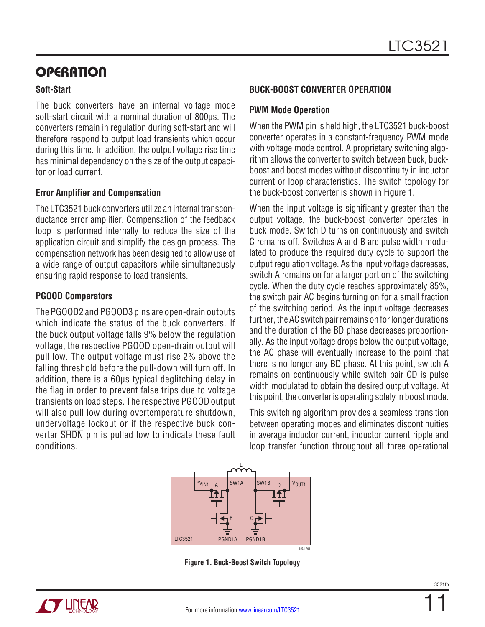#### **Soft-Start**

The buck converters have an internal voltage mode soft-start circuit with a nominal duration of 800μs. The converters remain in regulation during soft-start and will therefore respond to output load transients which occur during this time. In addition, the output voltage rise time has minimal dependency on the size of the output capacitor or load current.

#### **Error Amplifier and Compensation**

The LTC3521 buck converters utilize an internal transconductance error amplifier. Compensation of the feedback loop is performed internally to reduce the size of the application circuit and simplify the design process. The compensation network has been designed to allow use of a wide range of output capacitors while simultaneously ensuring rapid response to load transients.

#### **PGOOD Comparators**

The PGOOD2 and PGOOD3 pins are open-drain outputs which indicate the status of the buck converters. If the buck output voltage falls 9% below the regulation voltage, the respective PGOOD open-drain output will pull low. The output voltage must rise 2% above the falling threshold before the pull-down will turn off. In addition, there is a 60μs typical deglitching delay in the flag in order to prevent false trips due to voltage transients on load steps. The respective PGOOD output will also pull low during overtemperature shutdown, undervoltage lockout or if the respective buck converter SHDN pin is pulled low to indicate these fault conditions.

#### **Buck-Boost Converter Operation**

#### **PWM Mode Operation**

When the PWM pin is held high, the LTC3521 buck-boost converter operates in a constant-frequency PWM mode with voltage mode control. A proprietary switching algorithm allows the converter to switch between buck, buckboost and boost modes without discontinuity in inductor current or loop characteristics. The switch topology for the buck-boost converter is shown in Figure 1.

When the input voltage is significantly greater than the output voltage, the buck-boost converter operates in buck mode. Switch D turns on continuously and switch C remains off. Switches A and B are pulse width modulated to produce the required duty cycle to support the output regulation voltage. As the input voltage decreases, switch A remains on for a larger portion of the switching cycle. When the duty cycle reaches approximately 85%, the switch pair AC begins turning on for a small fraction of the switching period. As the input voltage decreases further, the AC switch pair remains on for longer durations and the duration of the BD phase decreases proportionally. As the input voltage drops below the output voltage, the AC phase will eventually increase to the point that there is no longer any BD phase. At this point, switch A remains on continuously while switch pair CD is pulse width modulated to obtain the desired output voltage. At this point, the converter is operating solely in boost mode.

This switching algorithm provides a seamless transition between operating modes and eliminates discontinuities in average inductor current, inductor current ripple and loop transfer function throughout all three operational



**Figure 1. Buck-Boost Switch Topology**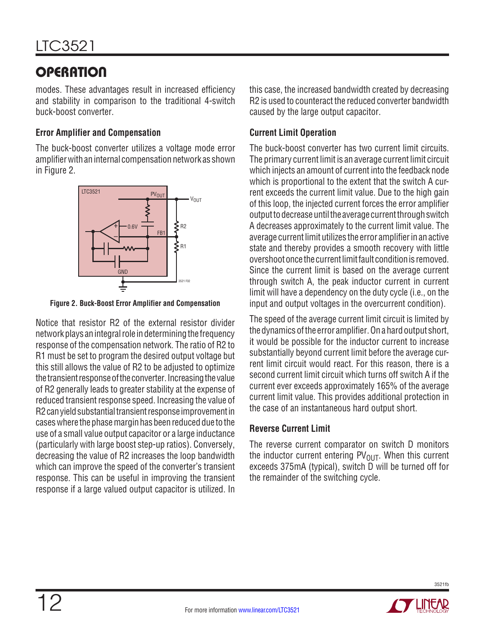modes. These advantages result in increased efficiency and stability in comparison to the traditional 4-switch buck-boost converter.

#### **Error Amplifier and Compensation**

The buck-boost converter utilizes a voltage mode error amplifier with an internal compensation network as shown in Figure 2.



**Figure 2. Buck-Boost Error Amplifier and Compensation**

Notice that resistor R2 of the external resistor divider network plays an integral role in determining the frequency response of the compensation network. The ratio of R2 to R1 must be set to program the desired output voltage but this still allows the value of R2 to be adjusted to optimize the transient response of the converter. Increasing the value of R2 generally leads to greater stability at the expense of reduced transient response speed. Increasing the value of R2 can vield substantial transient response improvement in cases where the phase margin has been reduced due to the use of a small value output capacitor or a large inductance (particularly with large boost step-up ratios). Conversely, decreasing the value of R2 increases the loop bandwidth which can improve the speed of the converter's transient response. This can be useful in improving the transient response if a large valued output capacitor is utilized. In this case, the increased bandwidth created by decreasing R2 is used to counteract the reduced converter bandwidth caused by the large output capacitor.

#### **Current Limit Operation**

The buck-boost converter has two current limit circuits. The primary current limit is an average current limit circuit which injects an amount of current into the feedback node which is proportional to the extent that the switch A current exceeds the current limit value. Due to the high gain of this loop, the injected current forces the error amplifier output to decrease until the average current through switch A decreases approximately to the current limit value. The average current limit utilizes the error amplifier in an active state and thereby provides a smooth recovery with little overshoot once the current limit fault condition is removed. Since the current limit is based on the average current through switch A, the peak inductor current in current limit will have a dependency on the duty cycle (i.e., on the input and output voltages in the overcurrent condition).

The speed of the average current limit circuit is limited by the dynamics of the error amplifier. On a hard output short, it would be possible for the inductor current to increase substantially beyond current limit before the average current limit circuit would react. For this reason, there is a second current limit circuit which turns off switch A if the current ever exceeds approximately 165% of the average current limit value. This provides additional protection in the case of an instantaneous hard output short.

#### **Reverse Current Limit**

The reverse current comparator on switch D monitors the inductor current entering  $PV<sub>OUT</sub>$ . When this current exceeds 375mA (typical), switch D will be turned off for the remainder of the switching cycle.

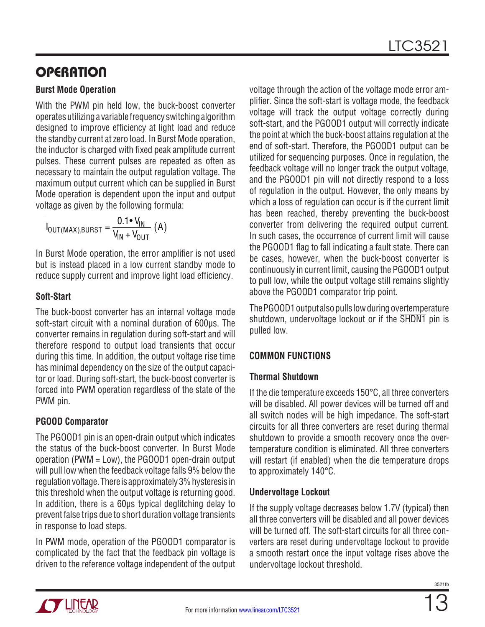#### **Burst Mode Operation**

With the PWM pin held low, the buck-boost converter operates utilizing a variable frequency switching algorithm designed to improve efficiency at light load and reduce the standby current at zero load. In Burst Mode operation, the inductor is charged with fixed peak amplitude current pulses. These current pulses are repeated as often as necessary to maintain the output regulation voltage. The maximum output current which can be supplied in Burst Mode operation is dependent upon the input and output voltage as given by the following formula:

$$
I_{\text{OUT}(MAX),\text{BURST}} = \frac{0.1 \cdot V_{\text{IN}}}{V_{\text{IN}} + V_{\text{OUT}}}(A)
$$

In Burst Mode operation, the error amplifier is not used but is instead placed in a low current standby mode to reduce supply current and improve light load efficiency.

### **Soft-Start**

The buck-boost converter has an internal voltage mode soft-start circuit with a nominal duration of 600μs. The converter remains in regulation during soft-start and will therefore respond to output load transients that occur during this time. In addition, the output voltage rise time has minimal dependency on the size of the output capacitor or load. During soft-start, the buck-boost converter is forced into PWM operation regardless of the state of the PWM pin.

### **PGOOD Comparator**

The PGOOD1 pin is an open-drain output which indicates the status of the buck-boost converter. In Burst Mode operation (PWM = Low), the PGOOD1 open-drain output will pull low when the feedback voltage falls 9% below the regulation voltage. There is approximately 3% hysteresis in this threshold when the output voltage is returning good. In addition, there is a 60μs typical deglitching delay to prevent false trips due to short duration voltage transients in response to load steps.

In PWM mode, operation of the PGOOD1 comparator is complicated by the fact that the feedback pin voltage is driven to the reference voltage independent of the output voltage through the action of the voltage mode error amplifier. Since the soft-start is voltage mode, the feedback voltage will track the output voltage correctly during soft-start, and the PGOOD1 output will correctly indicate the point at which the buck-boost attains regulation at the end of soft-start. Therefore, the PGOOD1 output can be utilized for sequencing purposes. Once in regulation, the feedback voltage will no longer track the output voltage, and the PGOOD1 pin will not directly respond to a loss of regulation in the output. However, the only means by which a loss of regulation can occur is if the current limit has been reached, thereby preventing the buck-boost converter from delivering the required output current. In such cases, the occurrence of current limit will cause the PGOOD1 flag to fall indicating a fault state. There can be cases, however, when the buck-boost converter is continuously in current limit, causing the PGOOD1 output to pull low, while the output voltage still remains slightly above the PGOOD1 comparator trip point.

The PGOOD1 output also pulls low during overtemperature shutdown, undervoltage lockout or if the SHDN1 pin is pulled low.

### **Common Functions**

### **Thermal Shutdown**

If the die temperature exceeds 150°C, all three converters will be disabled. All power devices will be turned off and all switch nodes will be high impedance. The soft-start circuits for all three converters are reset during thermal shutdown to provide a smooth recovery once the overtemperature condition is eliminated. All three converters will restart (if enabled) when the die temperature drops to approximately 140°C.

### **Undervoltage Lockout**

If the supply voltage decreases below 1.7V (typical) then all three converters will be disabled and all power devices will be turned off. The soft-start circuits for all three converters are reset during undervoltage lockout to provide a smooth restart once the input voltage rises above the undervoltage lockout threshold.

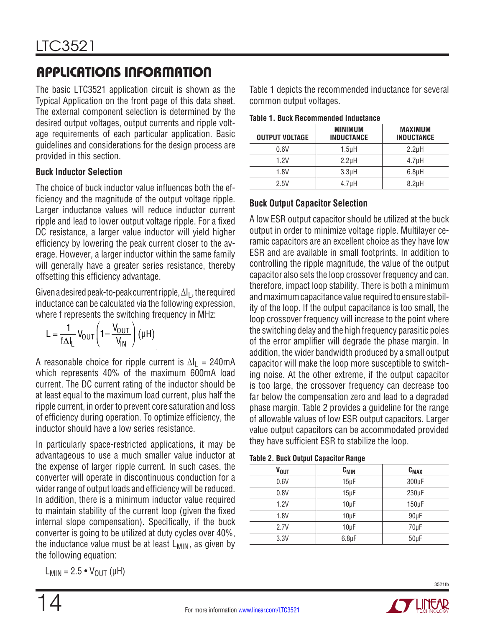The basic LTC3521 application circuit is shown as the Typical Application on the front page of this data sheet. The external component selection is determined by the desired output voltages, output currents and ripple voltage requirements of each particular application. Basic guidelines and considerations for the design process are provided in this section.

#### **Buck Inductor Selection**

The choice of buck inductor value influences both the efficiency and the magnitude of the output voltage ripple. Larger inductance values will reduce inductor current ripple and lead to lower output voltage ripple. For a fixed DC resistance, a larger value inductor will yield higher efficiency by lowering the peak current closer to the average. However, a larger inductor within the same family will generally have a greater series resistance, thereby offsetting this efficiency advantage.

Given a desired peak-to-peak current ripple,  $\Delta I_L$ , the required inductance can be calculated via the following expression, where f represents the switching frequency in MHz:

$$
L = \frac{1}{f \Delta I_L} V_{OUT} \left( 1 - \frac{V_{OUT}}{V_{IN}} \right) \left( \mu H \right)
$$

A reasonable choice for ripple current is  $\Delta I_1 = 240 \text{ mA}$ which represents 40% of the maximum 600mA load current. The DC current rating of the inductor should be at least equal to the maximum load current, plus half the ripple current, in order to prevent core saturation and loss of efficiency during operation. To optimize efficiency, the inductor should have a low series resistance.

In particularly space-restricted applications, it may be advantageous to use a much smaller value inductor at the expense of larger ripple current. In such cases, the converter will operate in discontinuous conduction for a wider range of output loads and efficiency will be reduced. In addition, there is a minimum inductor value required to maintain stability of the current loop (given the fixed internal slope compensation). Specifically, if the buck converter is going to be utilized at duty cycles over 40%, the inductance value must be at least  $L_{MIN}$ , as given by the following equation:

$$
L_{MIN} = 2.5 \cdot V_{OUT} (\mu H)
$$

Table 1 depicts the recommended inductance for several common output voltages.

| <b>OUTPUT VOLTAGE</b> | <b>MINIMUM</b><br><b>INDUCTANCE</b> | <b>MAXIMUM</b><br><b>INDUCTANCE</b> |
|-----------------------|-------------------------------------|-------------------------------------|
| 0.6V                  | $1.5$ µH                            | 2.2 <sub>µ</sub> H                  |
| 1.2V                  | 2.2 <sub>µ</sub> H                  | 4.7 <sub>µ</sub> H                  |
| 1.8V                  | 3.3 <sub>µ</sub> H                  | 6.8 <sub>µ</sub> H                  |
| 2.5V                  | 4.7 <sub>µ</sub> H                  | 8.2 <sub>µ</sub> H                  |

### **Buck Output Capacitor Selection**

A low ESR output capacitor should be utilized at the buck output in order to minimize voltage ripple. Multilayer ceramic capacitors are an excellent choice as they have low ESR and are available in small footprints. In addition to controlling the ripple magnitude, the value of the output capacitor also sets the loop crossover frequency and can, therefore, impact loop stability. There is both a minimum and maximum capacitance value required to ensure stability of the loop. If the output capacitance is too small, the loop crossover frequency will increase to the point where the switching delay and the high frequency parasitic poles of the error amplifier will degrade the phase margin. In addition, the wider bandwidth produced by a small output capacitor will make the loop more susceptible to switching noise. At the other extreme, if the output capacitor is too large, the crossover frequency can decrease too far below the compensation zero and lead to a degraded phase margin. Table 2 provides a guideline for the range of allowable values of low ESR output capacitors. Larger value output capacitors can be accommodated provided they have sufficient ESR to stabilize the loop.

|  |  |  | <b>Table 2. Buck Output Capacitor Range</b> |  |
|--|--|--|---------------------------------------------|--|
|--|--|--|---------------------------------------------|--|

| <b>V<sub>OUT</sub></b> | $C_{MIN}$          | $C_{MAX}$  |
|------------------------|--------------------|------------|
| 0.6V                   | $15\mu F$          | $300\mu F$ |
| 0.8V                   | $15\mu F$          | $230\mu F$ |
| 1.2V                   | $10\mu F$          | $150\mu F$ |
| 1.8V                   | $10\mu F$          | $90\mu F$  |
| 2.7V                   | $10\mu F$          | $70\mu F$  |
| 3.3V                   | $6.8\,\mathrm{µF}$ | $50\mu F$  |

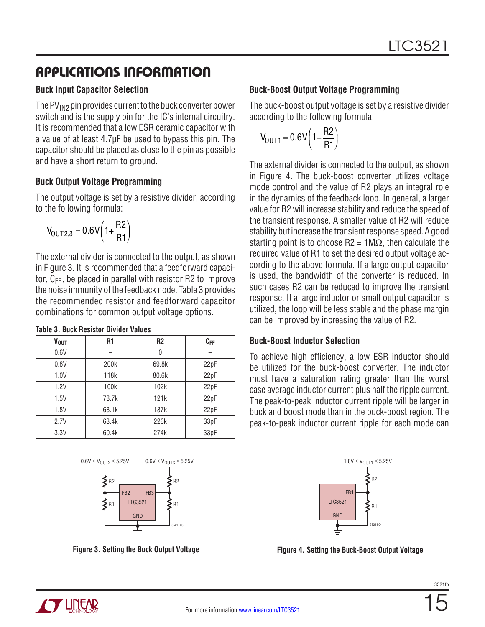#### **Buck Input Capacitor Selection**

The  $PV_{IN2}$  pin provides current to the buck converter power switch and is the supply pin for the IC's internal circuitry. It is recommended that a low ESR ceramic capacitor with a value of at least 4.7µF be used to bypass this pin. The capacitor should be placed as close to the pin as possible and have a short return to ground.

#### **Buck Output Voltage Programming**

The output voltage is set by a resistive divider, according to the following formula:

$$
V_{\text{OUT2,3}}=0.6V\bigg(1+\frac{R2}{R1}\bigg)
$$

The external divider is connected to the output, as shown in Figure 3. It is recommended that a feedforward capacitor,  $C_{FF}$ , be placed in parallel with resistor R2 to improve the noise immunity of the feedback node. Table 3 provides the recommended resistor and feedforward capacitor combinations for common output voltage options.

| <b>V<sub>OUT</sub></b> | R <sub>1</sub>   | R <sub>2</sub> | $C_{FF}$ |
|------------------------|------------------|----------------|----------|
| 0.6V                   |                  | 0              |          |
| 0.8V                   | 200k             | 69.8k          | 22pF     |
| 1.0V                   | 118k             | 80.6k          | 22pF     |
| 1.2V                   | 100 <sub>k</sub> | 102k           | 22pF     |
| 1.5V                   | 78.7k            | 121k           | 22pF     |
| 1.8V                   | 68.1k            | 137k           | 22pF     |
| 2.7V                   | 63.4k            | 226k           | 33pF     |
| 3.3V                   | 60.4k            | 274k           | 33pF     |





**Figure 3. Setting the Buck Output Voltage**

### **Buck-Boost Output Voltage Programming**

The buck-boost output voltage is set by a resistive divider according to the following formula:

$$
V_{\text{OUT1}} = 0.6 \text{V} \left( 1 + \frac{\text{R2}}{\text{R1}} \right)
$$

The external divider is connected to the output, as shown in Figure 4. The buck-boost converter utilizes voltage mode control and the value of R2 plays an integral role in the dynamics of the feedback loop. In general, a larger value for R2 will increase stability and reduce the speed of the transient response. A smaller value of R2 will reduce stability but increase the transient response speed. A good starting point is to choose  $R2 = 1M\Omega$ , then calculate the required value of R1 to set the desired output voltage according to the above formula. If a large output capacitor is used, the bandwidth of the converter is reduced. In such cases R2 can be reduced to improve the transient response. If a large inductor or small output capacitor is utilized, the loop will be less stable and the phase margin can be improved by increasing the value of R2.

#### **Buck-Boost Inductor Selection**

To achieve high efficiency, a low ESR inductor should be utilized for the buck-boost converter. The inductor must have a saturation rating greater than the worst case average inductor current plus half the ripple current. The peak-to-peak inductor current ripple will be larger in buck and boost mode than in the buck-boost region. The peak-to-peak inductor current ripple for each mode can



**Figure 4. Setting the Buck-Boost Output Voltage**

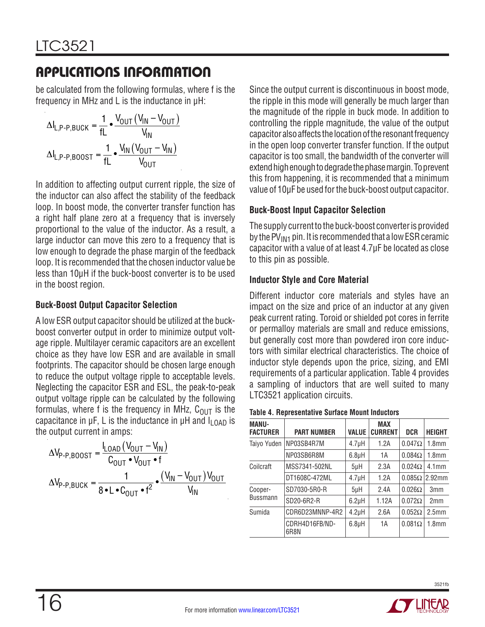be calculated from the following formulas, where f is the frequency in MHz and L is the inductance in μH:

$$
\Delta I_{L,P-P,BUCK} = \frac{1}{fL} \cdot \frac{V_{OUT} (V_{IN} - V_{OUT})}{V_{IN}}
$$

$$
\Delta I_{L,P-P,BOOST} = \frac{1}{fL} \cdot \frac{V_{IN} (V_{OUT} - V_{IN})}{V_{OUT}}
$$

In addition to affecting output current ripple, the size of the inductor can also affect the stability of the feedback loop. In boost mode, the converter transfer function has a right half plane zero at a frequency that is inversely proportional to the value of the inductor. As a result, a large inductor can move this zero to a frequency that is low enough to degrade the phase margin of the feedback loop. It is recommended that the chosen inductor value be less than 10μH if the buck-boost converter is to be used in the boost region.

### **Buck-Boost Output Capacitor Selection**

A low ESR output capacitor should be utilized at the buckboost converter output in order to minimize output voltage ripple. Multilayer ceramic capacitors are an excellent choice as they have low ESR and are available in small footprints. The capacitor should be chosen large enough to reduce the output voltage ripple to acceptable levels. Neglecting the capacitor ESR and ESL, the peak-to-peak output voltage ripple can be calculated by the following formulas, where f is the frequency in MHz,  $C_{OUT}$  is the capacitance in  $\mu$ F, L is the inductance in  $\mu$ H and  $I_{LOAD}$  is the output current in amps:

$$
\Delta V_{P-P,BOOST} = \frac{I_{LOAD} (V_{OUT} - V_{IN})}{C_{OUT} \cdot V_{OUT} \cdot f}
$$

$$
\Delta V_{P-P,BUCK} = \frac{1}{8 \cdot L \cdot C_{OUT} \cdot f^2} \cdot \frac{(V_{IN} - V_{OUT}) V_{OUT}}{V_{IN}}
$$

Since the output current is discontinuous in boost mode, the ripple in this mode will generally be much larger than the magnitude of the ripple in buck mode. In addition to controlling the ripple magnitude, the value of the output capacitor also affects the location of the resonant frequency in the open loop converter transfer function. If the output capacitor is too small, the bandwidth of the converter will extend high enough to degrade the phase margin. To prevent this from happening, it is recommended that a minimum value of 10μF be used for the buck-boost output capacitor.

### **Buck-Boost Input Capacitor Selection**

The supply current to the buck-boost converter is provided by the PV $_{IM1}$  pin. It is recommended that a low ESR ceramic capacitor with a value of at least 4.7μF be located as close to this pin as possible.

### **Inductor Style and Core Material**

Different inductor core materials and styles have an impact on the size and price of an inductor at any given peak current rating. Toroid or shielded pot cores in ferrite or permalloy materials are small and reduce emissions, but generally cost more than powdered iron core inductors with similar electrical characteristics. The choice of inductor style depends upon the price, sizing, and EMI requirements of a particular application. Table 4 provides a sampling of inductors that are well suited to many LTC3521 application circuits.

| <b>MANU-</b><br><b>FACTURER</b> | <b>PART NUMBER</b>     | <b>VALUE</b>       | <b>MAX</b><br><b>CURRENT</b> | <b>DCR</b>    | <b>HEIGHT</b>     |
|---------------------------------|------------------------|--------------------|------------------------------|---------------|-------------------|
| Taiyo Yuden                     | NP03SB4R7M             | $4.7\muH$          | 1.2A                         | $0.047\Omega$ | 1.8 <sub>mm</sub> |
|                                 | NP03SB6R8M             | $6.8\mu H$         | 1А                           | $0.084\Omega$ | 1.8 <sub>mm</sub> |
| Coilcraft                       | MSS7341-502NL          | 5 <sub>µ</sub> H   | 2.3A                         | $0.024\Omega$ | 4.1 <sub>mm</sub> |
|                                 | DT1608C-472ML          | 4.7 <sub>µ</sub> H | 1.2A                         | $0.085\Omega$ | $2.92$ mm         |
| Cooper-<br>Bussmann             | SD7030-5R0-R           | 5 <sub>µ</sub> H   | 2.4A                         | $0.026\Omega$ | 3 <sub>mm</sub>   |
|                                 | SD20-6R2-R             | $6.2\mu H$         | 1.12A                        | $0.072\Omega$ | 2mm               |
| Sumida                          | CDR6D23MNNP-4R2        | 4.2 <sub>µ</sub> H | 2.6A                         | $0.052\Omega$ | 2.5 <sub>mm</sub> |
|                                 | CDRH4D16FB/ND-<br>6R8N | $6.8\mu H$         | 1А                           | $0.081\Omega$ | 1.8mm             |

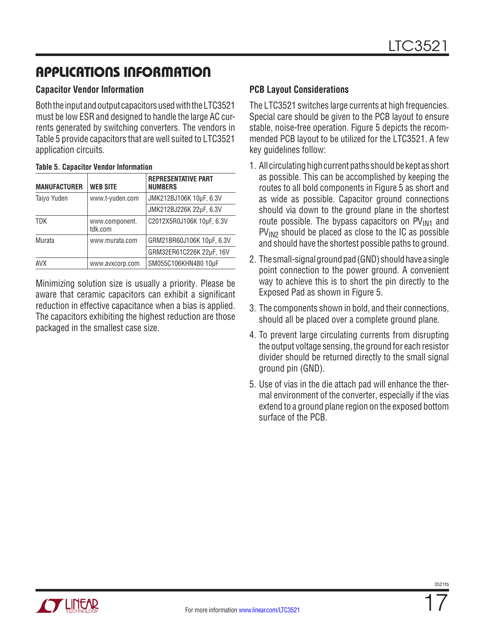#### **Capacitor Vendor Information**

Both the input and output capacitors used with the LTC3521 must be low ESR and designed to handle the large AC currents generated by switching converters. The vendors in Table 5 provide capacitors that are well suited to LTC3521 application circuits.

| <b>MANUFACTURER</b> | <b>WEB SITE</b>           | <b>REPRESENTATIVE PART</b><br><b>NUMBERS</b> |
|---------------------|---------------------------|----------------------------------------------|
| Taiyo Yuden         | www.t-yuden.com           | JMK212BJ106K 10µF, 6.3V                      |
|                     |                           | JMK212BJ226K 22µF, 6.3V                      |
| <b>TDK</b>          | www.component.<br>tdk.com | C2012X5R0J106K 10µF, 6.3V                    |
| Murata              | www.murata.com            | GRM21BR60J106K 10µF, 6.3V                    |
|                     |                           | GRM32ER61C226K 22µF, 16V                     |
| AVX                 | www.avxcorp.com           | SM055C106KHN480 10µF                         |

Minimizing solution size is usually a priority. Please be aware that ceramic capacitors can exhibit a significant reduction in effective capacitance when a bias is applied. The capacitors exhibiting the highest reduction are those packaged in the smallest case size.

#### **PCB Layout Considerations**

The LTC3521 switches large currents at high frequencies. Special care should be given to the PCB layout to ensure stable, noise-free operation. Figure 5 depicts the recommended PCB layout to be utilized for the LTC3521. A few key guidelines follow:

- 1. All circulating high current paths should be kept as short as possible. This can be accomplished by keeping the routes to all bold components in Figure 5 as short and as wide as possible. Capacitor ground connections should via down to the ground plane in the shortest route possible. The bypass capacitors on  $PV<sub>IM1</sub>$  and  $PV_{1N2}$  should be placed as close to the IC as possible and should have the shortest possible paths to ground.
- 2. The small-signal ground pad (GND) should have a single point connection to the power ground. A convenient way to achieve this is to short the pin directly to the Exposed Pad as shown in Figure 5.
- 3. The components shown in bold, and their connections, should all be placed over a complete ground plane.
- 4. To prevent large circulating currents from disrupting the output voltage sensing, the ground for each resistor divider should be returned directly to the small signal ground pin (GND).
- 5. Use of vias in the die attach pad will enhance the thermal environment of the converter, especially if the vias extend to a ground plane region on the exposed bottom surface of the PCB.

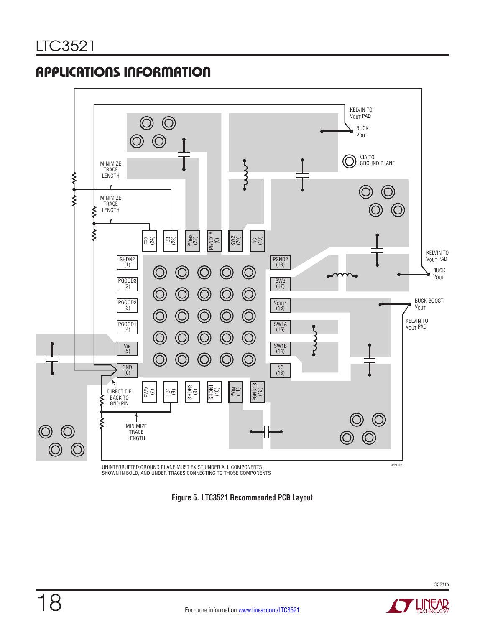

UNINTERRUPTED GROUND PLANE MUST EXIST UNDER ALL COMPONENTS<br>SHOWN IN BOLD, AND UNDER TRACES CONNECTING TO THOSE COMPONENTS

**Figure 5. LTC3521 Recommended PCB Layout**

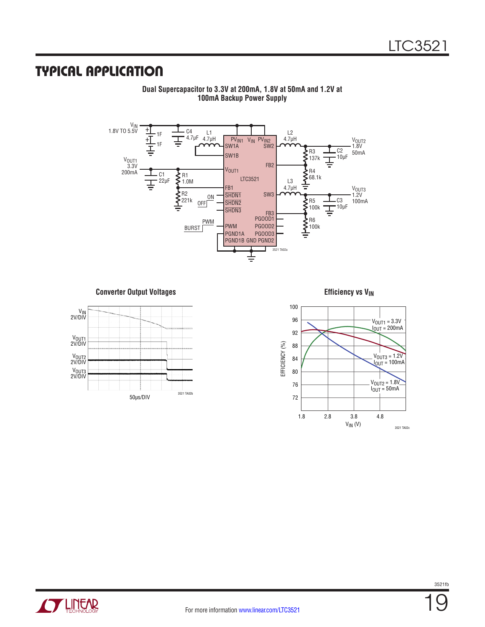### Typical Application



**Dual Supercapacitor to 3.3V at 200mA, 1.8V at 50mA and 1.2V at 100mA Backup Power Supply**

**Converter Output Voltages Efficiency vs V<sub>IN</sub>** 





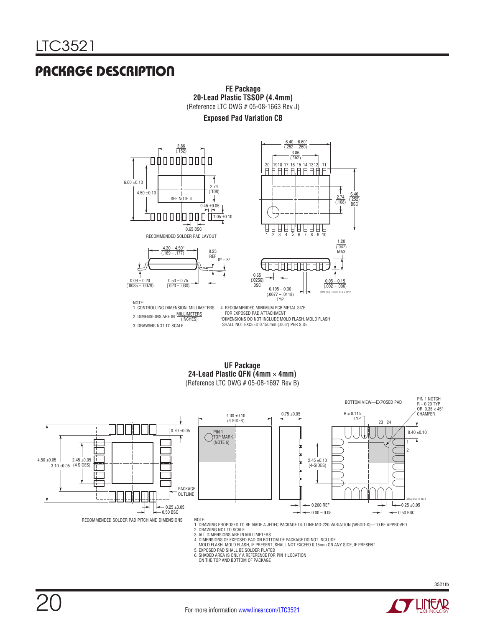### Package Description



#### **Exposed Pad Variation CB Exposed Pad Va**



2. DIMENSIONS ARE IN MILLIMETERS 1. CONTROLLING DIMENSION: MILLIMETERS 3. DRAWING NOT TO SCALE

(INCHES) \*DIMENSIONS DO NOT INCLUDE MOLD FLASH. MOLD FLASH SHALL NOT EXCEED 0.150mm (.006") PER SIDE 4. RECOMMENDED MINIMUM PCB METAL SIZE FOR EXPOSED PAD ATTACHMENT

**UF Package 24-Lead Plastic QFN (4mm** × **4mm) UF Package** (Reference LTC DWG # 05-08-1697 Rev B) **24-Lead Plastic QFN (4mm** × **4mm)**  $($ Reference LTC DWG  $#$  05-06-1697



MOLD FLASH. MOLD FLASH, IF PRESENT, SHALL NOT EXCEED 0.15mm ON ANY SIDE, IF PRESENT 5. EXPOSED PAD SHALL BE SOLDER PLATED

6. SHADED AREA IS ONLY A REFERENCE FOR PIN 1 LOCATION

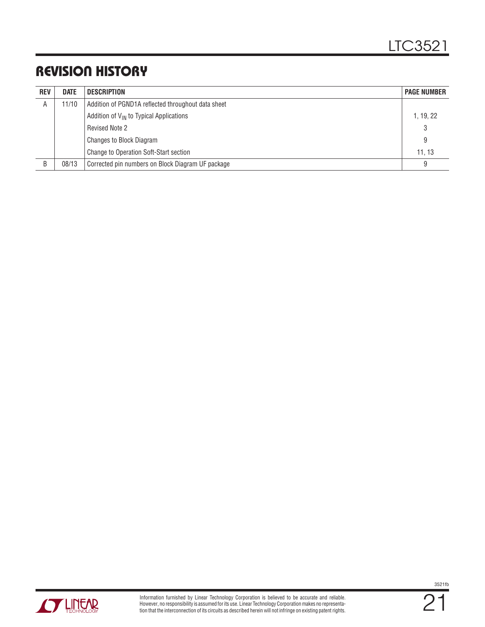## Revision History

| <b>REV</b> | <b>DATE</b> | DESCRIPTION                                         | <b>PAGE NUMBER</b> |
|------------|-------------|-----------------------------------------------------|--------------------|
| A          | 11/10       | Addition of PGND1A reflected throughout data sheet  |                    |
|            |             | Addition of $V_{\text{IN}}$ to Typical Applications | 1, 19, 22          |
|            |             | <b>Revised Note 2</b>                               | 3                  |
|            |             | <b>Changes to Block Diagram</b>                     | 9                  |
|            |             | Change to Operation Soft-Start section              | 11.13              |
| B          | 08/13       | Corrected pin numbers on Block Diagram UF package   | 9                  |